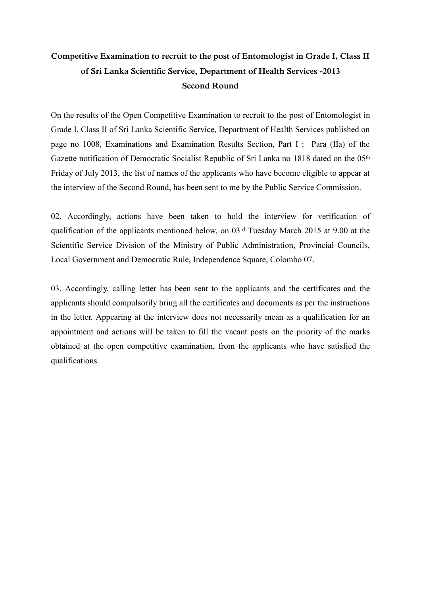## **Competitive Examination to recruit to the post of Entomologist in Grade I, Class II of Sri Lanka Scientific Service, Department of Health Services -2013 Second Round**

On the results of the Open Competitive Examination to recruit to the post of Entomologist in Grade I, Class II of Sri Lanka Scientific Service, Department of Health Services published on page no 1008, Examinations and Examination Results Section, Part I : Para (IIa) of the Gazette notification of Democratic Socialist Republic of Sri Lanka no 1818 dated on the 05th Friday of July 2013, the list of names of the applicants who have become eligible to appear at the interview of the Second Round, has been sent to me by the Public Service Commission.

02. Accordingly, actions have been taken to hold the interview for verification of qualification of the applicants mentioned below, on 03rd Tuesday March 2015 at 9.00 at the Scientific Service Division of the Ministry of Public Administration, Provincial Councils, Local Government and Democratic Rule, Independence Square, Colombo 07.

03. Accordingly, calling letter has been sent to the applicants and the certificates and the applicants should compulsorily bring all the certificates and documents as per the instructions in the letter. Appearing at the interview does not necessarily mean as a qualification for an appointment and actions will be taken to fill the vacant posts on the priority of the marks obtained at the open competitive examination, from the applicants who have satisfied the qualifications.